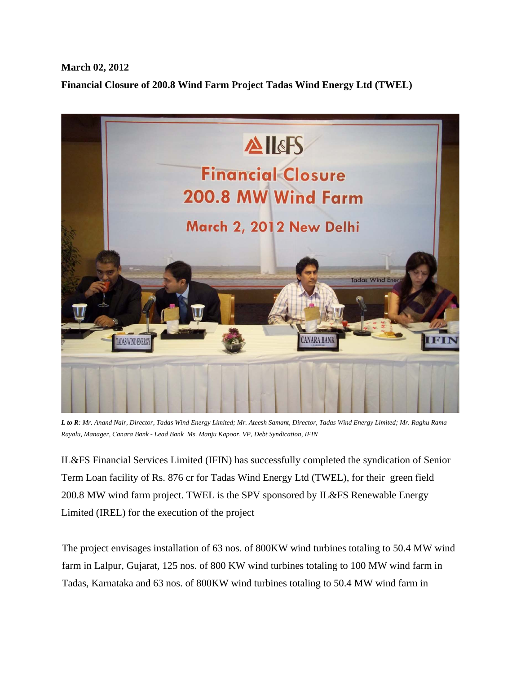## **March 02, 2012 Financial Closure of 200.8 Wind Farm Project Tadas Wind Energy Ltd (TWEL)**



*L to R: Mr. Anand Nair, Director, Tadas Wind Energy Limited; Mr. Ateesh Samant, Director, Tadas Wind Energy Limited; Mr. Raghu Rama Rayalu, Manager, Canara Bank - Lead Bank Ms. Manju Kapoor, VP, Debt Syndication, IFIN* 

IL&FS Financial Services Limited (IFIN) has successfully completed the syndication of Senior Term Loan facility of Rs. 876 cr for Tadas Wind Energy Ltd (TWEL), for their green field 200.8 MW wind farm project. TWEL is the SPV sponsored by IL&FS Renewable Energy Limited (IREL) for the execution of the project

The project envisages installation of 63 nos. of 800KW wind turbines totaling to 50.4 MW wind farm in Lalpur, Gujarat, 125 nos. of 800 KW wind turbines totaling to 100 MW wind farm in Tadas, Karnataka and 63 nos. of 800KW wind turbines totaling to 50.4 MW wind farm in